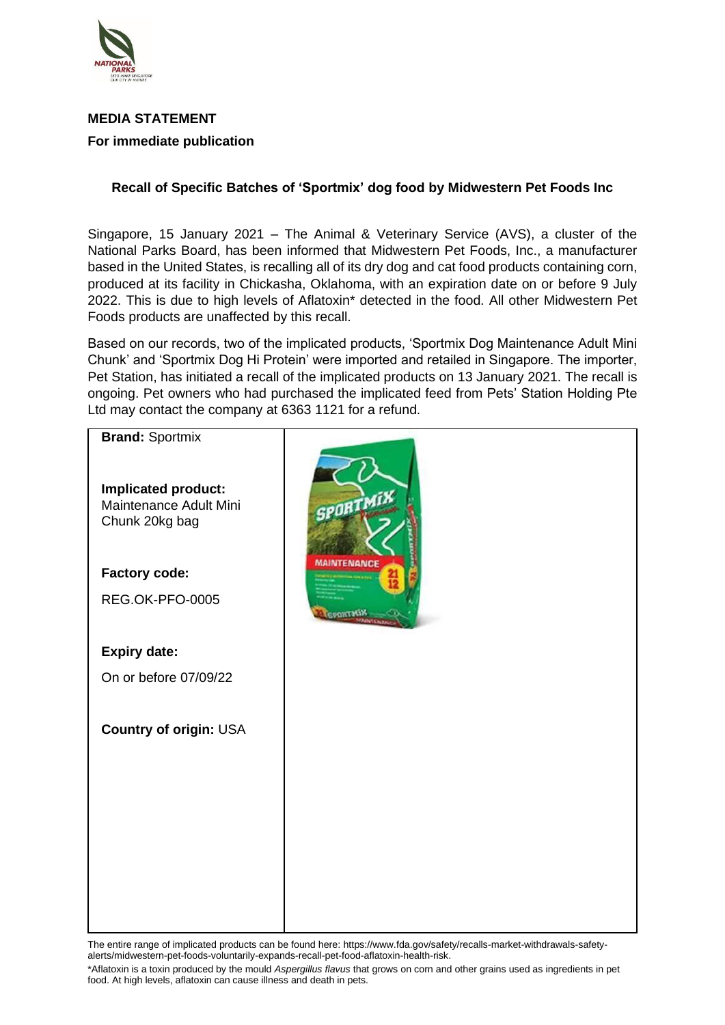

## **MEDIA STATEMENT For immediate publication**

## **Recall of Specific Batches of 'Sportmix' dog food by Midwestern Pet Foods Inc**

Singapore, 15 January 2021 – The Animal & Veterinary Service (AVS), a cluster of the National Parks Board, has been informed that Midwestern Pet Foods, Inc., a manufacturer based in the United States, is recalling all of its dry dog and cat food products containing corn, produced at its facility in Chickasha, Oklahoma, with an expiration date on or before 9 July 2022. This is due to high levels of Aflatoxin\* detected in the food. All other Midwestern Pet Foods products are unaffected by this recall.

Based on our records, two of the implicated products, 'Sportmix Dog Maintenance Adult Mini Chunk' and 'Sportmix Dog Hi Protein' were imported and retailed in Singapore. The importer, Pet Station, has initiated a recall of the implicated products on 13 January 2021. The recall is ongoing. Pet owners who had purchased the implicated feed from Pets' Station Holding Pte Ltd may contact the company at 6363 1121 for a refund.



The entire range of implicated products can be found here: https://www.fda.gov/safety/recalls-market-withdrawals-safetyalerts/midwestern-pet-foods-voluntarily-expands-recall-pet-food-aflatoxin-health-risk.

\*Aflatoxin is a toxin produced by the mould *Aspergillus flavus* that grows on corn and other grains used as ingredients in pet food. At high levels, aflatoxin can cause illness and death in pets.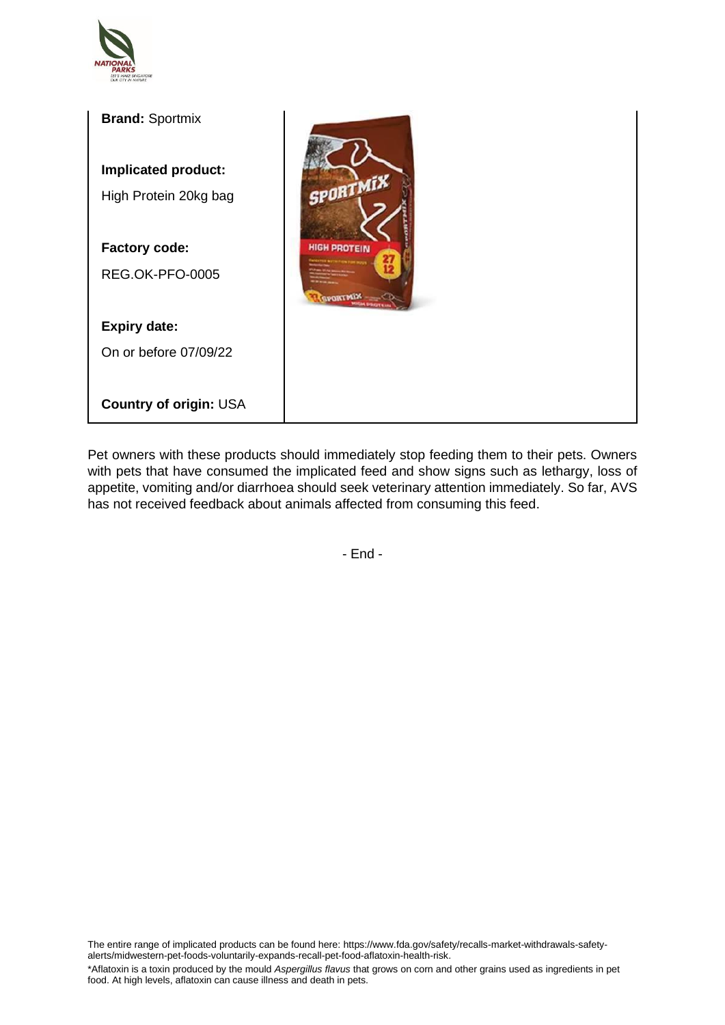



Pet owners with these products should immediately stop feeding them to their pets. Owners with pets that have consumed the implicated feed and show signs such as lethargy, loss of appetite, vomiting and/or diarrhoea should seek veterinary attention immediately. So far, AVS has not received feedback about animals affected from consuming this feed.

- End -

The entire range of implicated products can be found here: https://www.fda.gov/safety/recalls-market-withdrawals-safetyalerts/midwestern-pet-foods-voluntarily-expands-recall-pet-food-aflatoxin-health-risk.